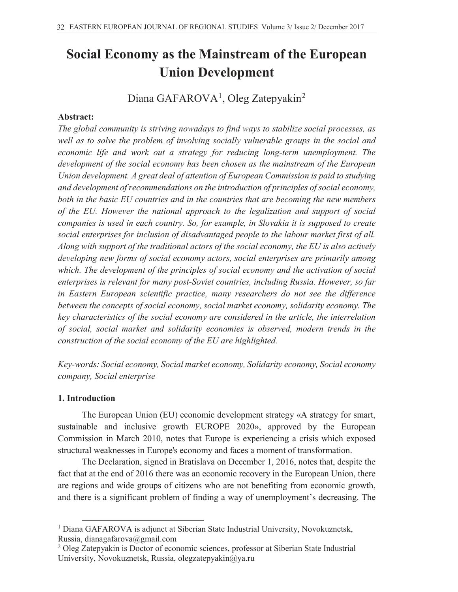# **Social Economy as the Mainstream of the European Union Development**

## Diana GAFAROVA<sup>1</sup>, Oleg Zatepyakin<sup>2</sup>

### **Abstract:**

*The global community is striving nowadays to find ways to stabilize social processes, as well as to solve the problem of involving socially vulnerable groups in the social and economic life and work out a strategy for reducing long-term unemployment. The development of the social economy has been chosen as the mainstream of the European Union development. A great deal of attention of European Commission is paid to studying and development of recommendations on the introduction of principles of social economy, both in the basic EU countries and in the countries that are becoming the new members of the EU. However the national approach to the legalization and support of social companies is used in each country. So, for example, in Slovakia it is supposed to create social enterprises for inclusion of disadvantaged people to the labour market first of all. Along with support of the traditional actors of the social economy, the EU is also actively developing new forms of social economy actors, social enterprises are primarily among which. The development of the principles of social economy and the activation of social enterprises is relevant for many post-Soviet countries, including Russia. However, so far in Eastern European scientific practice, many researchers do not see the difference between the concepts of social economy, social market economy, solidarity economy. The key characteristics of the social economy are considered in the article, the interrelation of social, social market and solidarity economies is observed, modern trends in the construction of the social economy of the EU are highlighted.* 

*Key-words: Social economy, Social market economy, Solidarity economy, Social economy company, Social enterprise*

#### **1. Introduction**

The European Union (EU) economic development strategy «A strategy for smart, sustainable and inclusive growth EUROPE 2020», approved by the European Commission in March 2010, notes that Europe is experiencing a crisis which exposed structural weaknesses in Europe's economy and faces a moment of transformation.

The Declaration, signed in Bratislava on December 1, 2016, notes that, despite the fact that at the end of 2016 there was an economic recovery in the European Union, there are regions and wide groups of citizens who are not benefiting from economic growth, and there is a significant problem of finding a way of unemployment's decreasing. The

<sup>1</sup> Diana GAFAROVA is adjunct at Siberian State Industrial University, Novokuznetsk, Russia, dianagafarova@gmail.com

<sup>2</sup> Oleg Zatepyakin is Doctor of economic sciences, professor at Siberian State Industrial University, Novokuznetsk, Russia, olegzatepyakin@ya.ru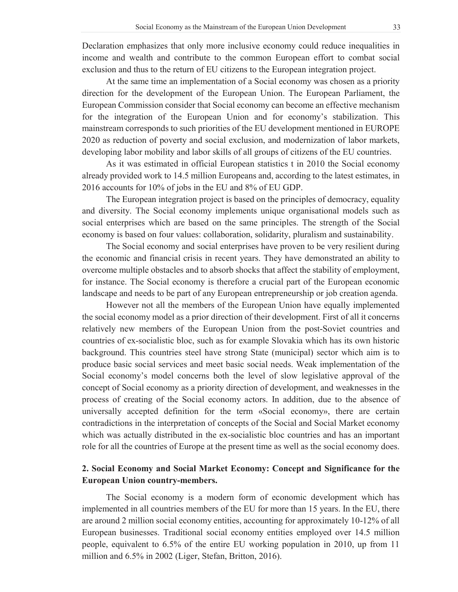Declaration emphasizes that only more inclusive economy could reduce inequalities in income and wealth and contribute to the common European effort to combat social exclusion and thus to the return of EU citizens to the European integration project.

At the same time an implementation of a Social economy was chosen as a priority direction for the development of the European Union. The European Parliament, the European Commission consider that Social economy can become an effective mechanism for the integration of the European Union and for economy's stabilization. This mainstream corresponds to such priorities of the EU development mentioned in EUROPE 2020 as reduction of poverty and social exclusion, and modernization of labor markets, developing labor mobility and labor skills of all groups of citizens of the EU countries.

As it was estimated in official European statistics t in 2010 the Social economy already provided work to 14.5 million Europeans and, according to the latest estimates, in 2016 accounts for 10% of jobs in the EU and 8% of EU GDP.

The European integration project is based on the principles of democracy, equality and diversity. The Social economy implements unique organisational models such as social enterprises which are based on the same principles. The strength of the Social economy is based on four values: collaboration, solidarity, pluralism and sustainability.

The Social economy and social enterprises have proven to be very resilient during the economic and financial crisis in recent years. They have demonstrated an ability to overcome multiple obstacles and to absorb shocks that affect the stability of employment, for instance. The Social economy is therefore a crucial part of the European economic landscape and needs to be part of any European entrepreneurship or job creation agenda.

However not all the members of the European Union have equally implemented the social economy model as a prior direction of their development. First of all it concerns relatively new members of the European Union from the post-Soviet countries and countries of ex-socialistic bloc, such as for example Slovakia which has its own historic background. This countries steel have strong State (municipal) sector which aim is to produce basic social services and meet basic social needs. Weak implementation of the Social economy's model concerns both the level of slow legislative approval of the concept of Social economy as a priority direction of development, and weaknesses in the process of creating of the Social economy actors. In addition, due to the absence of universally accepted definition for the term «Social economy», there are certain contradictions in the interpretation of concepts of the Social and Social Market economy which was actually distributed in the ex-socialistic bloc countries and has an important role for all the countries of Europe at the present time as well as the social economy does.

## **2. Social Economy and Social Market Economy: Concept and Significance for the European Union country-members.**

The Social economy is a modern form of economic development which has implemented in all countries members of the EU for more than 15 years. In the EU, there are around 2 million social economy entities, accounting for approximately 10-12% of all European businesses. Traditional social economy entities employed over 14.5 million people, equivalent to 6.5% of the entire EU working population in 2010, up from 11 million and 6.5% in 2002 (Liger, Stefan, Britton, 2016).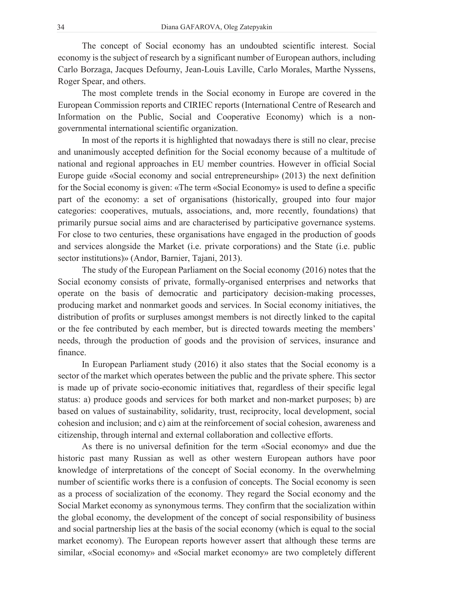The concept of Social economy has an undoubted scientific interest. Social economy is the subject of research by a significant number of European authors, including Carlo Borzaga, Jacques Defourny, Jean-Louis Laville, Carlo Morales, Marthe Nyssens, Roger Spear, and others.

The most complete trends in the Social economy in Europe are covered in the European Commission reports and CIRIEC reports (International Centre of Research and Information on the Public, Social and Cooperative Economy) which is a nongovernmental international scientific organization.

In most of the reports it is highlighted that nowadays there is still no clear, precise and unanimously accepted definition for the Social economy because of a multitude of national and regional approaches in EU member countries. However in official Social Europe guide «Social economy and social entrepreneurship» (2013) the next definition for the Social economy is given: «The term «Social Economy» is used to define a specific part of the economy: a set of organisations (historically, grouped into four major categories: cooperatives, mutuals, associations, and, more recently, foundations) that primarily pursue social aims and are characterised by participative governance systems. For close to two centuries, these organisations have engaged in the production of goods and services alongside the Market (i.e. private corporations) and the State (i.e. public sector institutions)» (Andor, Barnier, Tajani, 2013).

The study of the European Parliament on the Social economy (2016) notes that the Social economy consists of private, formally-organised enterprises and networks that operate on the basis of democratic and participatory decision-making processes, producing market and nonmarket goods and services. In Social economy initiatives, the distribution of profits or surpluses amongst members is not directly linked to the capital or the fee contributed by each member, but is directed towards meeting the members' needs, through the production of goods and the provision of services, insurance and finance.

In European Parliament study (2016) it also states that the Social economy is a sector of the market which operates between the public and the private sphere. This sector is made up of private socio-economic initiatives that, regardless of their specific legal status: a) produce goods and services for both market and non-market purposes; b) are based on values of sustainability, solidarity, trust, reciprocity, local development, social cohesion and inclusion; and c) aim at the reinforcement of social cohesion, awareness and citizenship, through internal and external collaboration and collective efforts.

As there is no universal definition for the term «Social economy» and due the historic past many Russian as well as other western European authors have poor knowledge of interpretations of the concept of Social economy. In the overwhelming number of scientific works there is a confusion of concepts. The Social economy is seen as a process of socialization of the economy. They regard the Social economy and the Social Market economy as synonymous terms. They confirm that the socialization within the global economy, the development of the concept of social responsibility of business and social partnership lies at the basis of the social economy (which is equal to the social market economy). The European reports however assert that although these terms are similar, «Social economy» and «Social market economy» are two completely different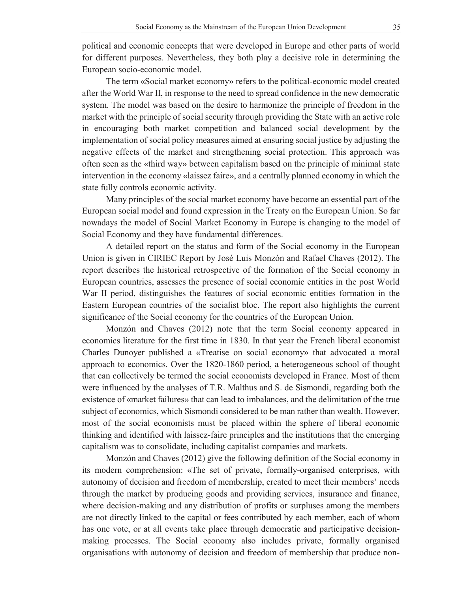political and economic concepts that were developed in Europe and other parts of world for different purposes. Nevertheless, they both play a decisive role in determining the European socio-economic model.

The term «Social market economy» refers to the political-economic model created after the World War II, in response to the need to spread confidence in the new democratic system. The model was based on the desire to harmonize the principle of freedom in the market with the principle of social security through providing the State with an active role in encouraging both market competition and balanced social development by the implementation of social policy measures aimed at ensuring social justice by adjusting the negative effects of the market and strengthening social protection. This approach was often seen as the «third way» between capitalism based on the principle of minimal state intervention in the economy «laissez faire», and a centrally planned economy in which the state fully controls economic activity.

Many principles of the social market economy have become an essential part of the European social model and found expression in the Treaty on the European Union. So far nowadays the model of Social Market Economy in Europe is changing to the model of Social Economy and they have fundamental differences.

A detailed report on the status and form of the Social economy in the European Union is given in CIRIEC Report by José Luis Monzón and Rafael Chaves (2012). The report describes the historical retrospective of the formation of the Social economy in European countries, assesses the presence of social economic entities in the post World War II period, distinguishes the features of social economic entities formation in the Eastern European countries of the socialist bloc. The report also highlights the current significance of the Social economy for the countries of the European Union.

Monzón and Chaves (2012) note that the term Social economy appeared in economics literature for the first time in 1830. In that year the French liberal economist Charles Dunoyer published a «Treatise on social economy» that advocated a moral approach to economics. Over the 1820-1860 period, a heterogeneous school of thought that can collectively be termed the social economists developed in France. Most of them were influenced by the analyses of T.R. Malthus and S. de Sismondi, regarding both the existence of «market failures» that can lead to imbalances, and the delimitation of the true subject of economics, which Sismondi considered to be man rather than wealth. However, most of the social economists must be placed within the sphere of liberal economic thinking and identified with laissez-faire principles and the institutions that the emerging capitalism was to consolidate, including capitalist companies and markets.

Monzón and Chaves (2012) give the following definition of the Social economy in its modern comprehension: «The set of private, formally-organised enterprises, with autonomy of decision and freedom of membership, created to meet their members' needs through the market by producing goods and providing services, insurance and finance, where decision-making and any distribution of profits or surpluses among the members are not directly linked to the capital or fees contributed by each member, each of whom has one vote, or at all events take place through democratic and participative decisionmaking processes. The Social economy also includes private, formally organised organisations with autonomy of decision and freedom of membership that produce non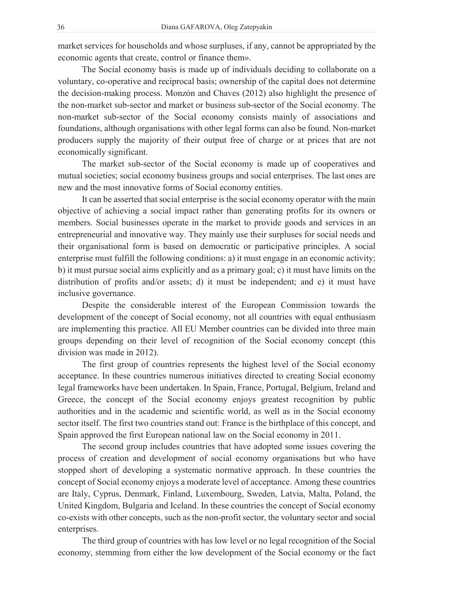market services for households and whose surpluses, if any, cannot be appropriated by the economic agents that create, control or finance them».

The Social economy basis is made up of individuals deciding to collaborate on a voluntary, co-operative and reciprocal basis; ownership of the capital does not determine the decision-making process. Monzón and Chaves (2012) also highlight the presence of the non-market sub-sector and market or business sub-sector of the Social economy. The non-market sub-sector of the Social economy consists mainly of associations and foundations, although organisations with other legal forms can also be found. Non-market producers supply the majority of their output free of charge or at prices that are not economically significant.

The market sub-sector of the Social economy is made up of cooperatives and mutual societies; social economy business groups and social enterprises. The last ones are new and the most innovative forms of Social economy entities.

It can be asserted that social enterprise is the social economy operator with the main objective of achieving a social impact rather than generating profits for its owners or members. Social businesses operate in the market to provide goods and services in an entrepreneurial and innovative way. They mainly use their surpluses for social needs and their organisational form is based on democratic or participative principles. A social enterprise must fulfill the following conditions: a) it must engage in an economic activity; b) it must pursue social aims explicitly and as a primary goal; c) it must have limits on the distribution of profits and/or assets; d) it must be independent; and e) it must have inclusive governance.

Despite the considerable interest of the European Commission towards the development of the concept of Social economy, not all countries with equal enthusiasm are implementing this practice. All EU Member countries can be divided into three main groups depending on their level of recognition of the Social economy concept (this division was made in 2012).

The first group of countries represents the highest level of the Social economy acceptance. In these countries numerous initiatives directed to creating Social economy legal frameworks have been undertaken. In Spain, France, Portugal, Belgium, Ireland and Greece, the concept of the Social economy enjoys greatest recognition by public authorities and in the academic and scientific world, as well as in the Social economy sector itself. The first two countries stand out: France is the birthplace of this concept, and Spain approved the first European national law on the Social economy in 2011.

The second group includes countries that have adopted some issues covering the process of creation and development of social economy organisations but who have stopped short of developing a systematic normative approach. In these countries the concept of Social economy enjoys a moderate level of acceptance. Among these countries are Italy, Cyprus, Denmark, Finland, Luxembourg, Sweden, Latvia, Malta, Poland, the United Kingdom, Bulgaria and Iceland. In these countries the concept of Social economy co-exists with other concepts, such as the non-profit sector, the voluntary sector and social enterprises.

The third group of countries with has low level or no legal recognition of the Social economy, stemming from either the low development of the Social economy or the fact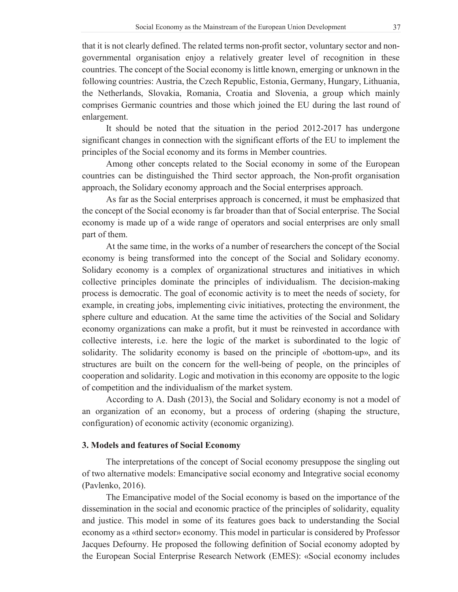that it is not clearly defined. The related terms non-profit sector, voluntary sector and nongovernmental organisation enjoy a relatively greater level of recognition in these countries. The concept of the Social economy is little known, emerging or unknown in the following countries: Austria, the Czech Republic, Estonia, Germany, Hungary, Lithuania, the Netherlands, Slovakia, Romania, Croatia and Slovenia, a group which mainly comprises Germanic countries and those which joined the EU during the last round of enlargement.

It should be noted that the situation in the period 2012-2017 has undergone significant changes in connection with the significant efforts of the EU to implement the principles of the Social economy and its forms in Member countries.

Among other concepts related to the Social economy in some of the European countries can be distinguished the Third sector approach, the Non-profit organisation approach, the Solidary economy approach and the Social enterprises approach.

As far as the Social enterprises approach is concerned, it must be emphasized that the concept of the Social economy is far broader than that of Social enterprise. The Social economy is made up of a wide range of operators and social enterprises are only small part of them.

At the same time, in the works of a number of researchers the concept of the Social economy is being transformed into the concept of the Social and Solidary economy. Solidary economy is a complex of organizational structures and initiatives in which collective principles dominate the principles of individualism. The decision-making process is democratic. The goal of economic activity is to meet the needs of society, for example, in creating jobs, implementing civic initiatives, protecting the environment, the sphere culture and education. At the same time the activities of the Social and Solidary economy organizations can make a profit, but it must be reinvested in accordance with collective interests, i.e. here the logic of the market is subordinated to the logic of solidarity. The solidarity economy is based on the principle of «bottom-up», and its structures are built on the concern for the well-being of people, on the principles of cooperation and solidarity. Logic and motivation in this economy are opposite to the logic of competition and the individualism of the market system.

According to A. Dash (2013), the Social and Solidary economy is not a model of an organization of an economy, but a process of ordering (shaping the structure, configuration) of economic activity (economic organizing).

#### **3. Models and features of Social Economy**

The interpretations of the concept of Social economy presuppose the singling out of two alternative models: Emancipative social economy and Integrative social economy (Pavlenko, 2016).

The Emancipative model of the Social economy is based on the importance of the dissemination in the social and economic practice of the principles of solidarity, equality and justice. This model in some of its features goes back to understanding the Social economy as a «third sector» economy. This model in particular is considered by Professor Jacques Defourny. He proposed the following definition of Social economy adopted by the European Social Enterprise Research Network (EMES): «Social economy includes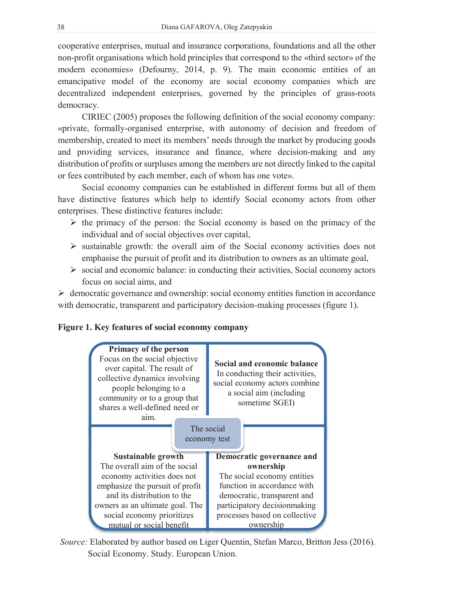cooperative enterprises, mutual and insurance corporations, foundations and all the other non-profit organisations which hold principles that correspond to the «third sector» of the modern economies» (Defourny, 2014, p. 9). The main economic entities of an emancipative model of the economy are social economy companies which are decentralized independent enterprises, governed by the principles of grass-roots democracy.

CIRIEC (2005) proposes the following definition of the social economy company: «private, formally-organised enterprise, with autonomy of decision and freedom of membership, created to meet its members' needs through the market by producing goods and providing services, insurance and finance, where decision-making and any distribution of profits or surpluses among the members are not directly linked to the capital or fees contributed by each member, each of whom has one vote».

Social economy companies can be established in different forms but all of them have distinctive features which help to identify Social economy actors from other enterprises. These distinctive features include:

- $\triangleright$  the primacy of the person: the Social economy is based on the primacy of the individual and of social objectives over capital,
- $\triangleright$  sustainable growth: the overall aim of the Social economy activities does not emphasise the pursuit of profit and its distribution to owners as an ultimate goal,
- $\triangleright$  social and economic balance: in conducting their activities, Social economy actors focus on social aims, and

 $\triangleright$  democratic governance and ownership: social economy entities function in accordance with democratic, transparent and participatory decision-making processes (figure 1).





Source: Elaborated by author based on Liger Quentin, Stefan Marco, Britton Jess (2016). Social Economy. Study. European Union.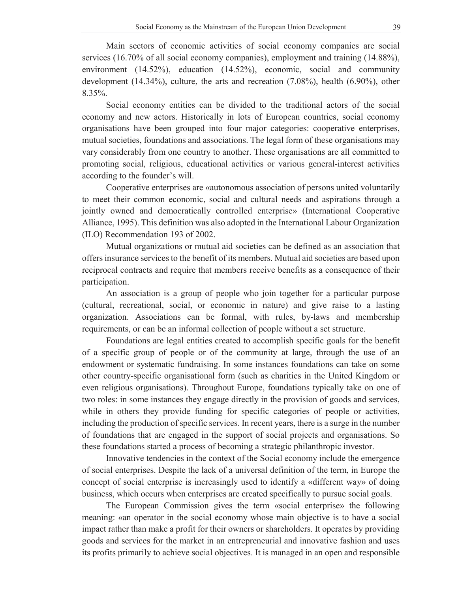Main sectors of economic activities of social economy companies are social services (16.70% of all social economy companies), employment and training (14.88%), environment (14.52%), education (14.52%), economic, social and community development (14.34%), culture, the arts and recreation (7.08%), health (6.90%), other  $8.35\%$ .

Social economy entities can be divided to the traditional actors of the social economy and new actors. Historically in lots of European countries, social economy organisations have been grouped into four major categories: cooperative enterprises, mutual societies, foundations and associations. The legal form of these organisations may vary considerably from one country to another. These organisations are all committed to promoting social, religious, educational activities or various general-interest activities according to the founder's will.

Cooperative enterprises are «autonomous association of persons united voluntarily to meet their common economic, social and cultural needs and aspirations through a jointly owned and democratically controlled enterprise» (International Cooperative Alliance, 1995). This definition was also adopted in the International Labour Organization (ILO) Recommendation 193 of 2002.

Mutual organizations or mutual aid societies can be defined as an association that offers insurance services to the benefit of its members. Mutual aid societies are based upon reciprocal contracts and require that members receive benefits as a consequence of their participation.

An association is a group of people who join together for a particular purpose (cultural, recreational, social, or economic in nature) and give raise to a lasting organization. Associations can be formal, with rules, by-laws and membership requirements, or can be an informal collection of people without a set structure.

Foundations are legal entities created to accomplish specific goals for the benefit of a specific group of people or of the community at large, through the use of an endowment or systematic fundraising. In some instances foundations can take on some other country-specific organisational form (such as charities in the United Kingdom or even religious organisations). Throughout Europe, foundations typically take on one of two roles: in some instances they engage directly in the provision of goods and services, while in others they provide funding for specific categories of people or activities, including the production of specific services. In recent years, there is a surge in the number of foundations that are engaged in the support of social projects and organisations. So these foundations started a process of becoming a strategic philanthropic investor.

Innovative tendencies in the context of the Social economy include the emergence of social enterprises. Despite the lack of a universal definition of the term, in Europe the concept of social enterprise is increasingly used to identify a «different way» of doing business, which occurs when enterprises are created specifically to pursue social goals.

The European Commission gives the term «social enterprise» the following meaning: «an operator in the social economy whose main objective is to have a social impact rather than make a profit for their owners or shareholders. It operates by providing goods and services for the market in an entrepreneurial and innovative fashion and uses its profits primarily to achieve social objectives. It is managed in an open and responsible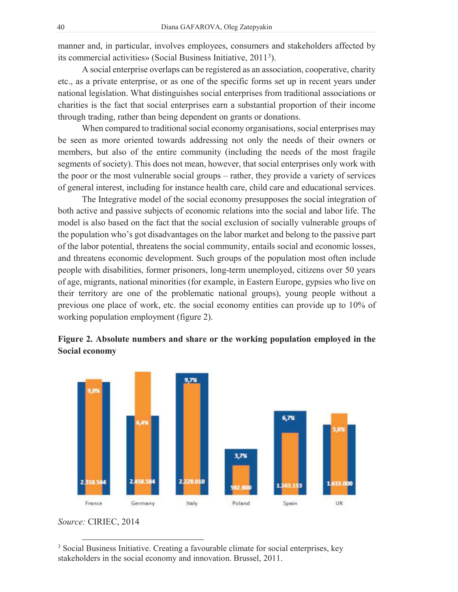manner and, in particular, involves employees, consumers and stakeholders affected by its commercial activities» (Social Business Initiative, 2011<sup>3</sup> ).

A social enterprise overlaps can be registered as an association, cooperative, charity etc., as a private enterprise, or as one of the specific forms set up in recent years under national legislation. What distinguishes social enterprises from traditional associations or charities is the fact that social enterprises earn a substantial proportion of their income through trading, rather than being dependent on grants or donations.

When compared to traditional social economy organisations, social enterprises may be seen as more oriented towards addressing not only the needs of their owners or members, but also of the entire community (including the needs of the most fragile segments of society). This does not mean, however, that social enterprises only work with the poor or the most vulnerable social groups – rather, they provide a variety of services of general interest, including for instance health care, child care and educational services.

The Integrative model of the social economy presupposes the social integration of both active and passive subjects of economic relations into the social and labor life. The model is also based on the fact that the social exclusion of socially vulnerable groups of the population who's got disadvantages on the labor market and belong to the passive part of the labor potential, threatens the social community, entails social and economic losses, and threatens economic development. Such groups of the population most often include people with disabilities, former prisoners, long-term unemployed, citizens over 50 years of age, migrants, national minorities (for example, in Eastern Europe, gypsies who live on their territory are one of the problematic national groups), young people without a previous one place of work, etc. the social economy entities can provide up to 10% of working population employment (figure 2).

## **Figure 2. Absolute numbers and share or the working population employed in the Social economy**



*Source:* CIRIEC, 2014

<sup>3</sup> Social Business Initiative. Creating a favourable climate for social enterprises, key stakeholders in the social economy and innovation. Brussel, 2011.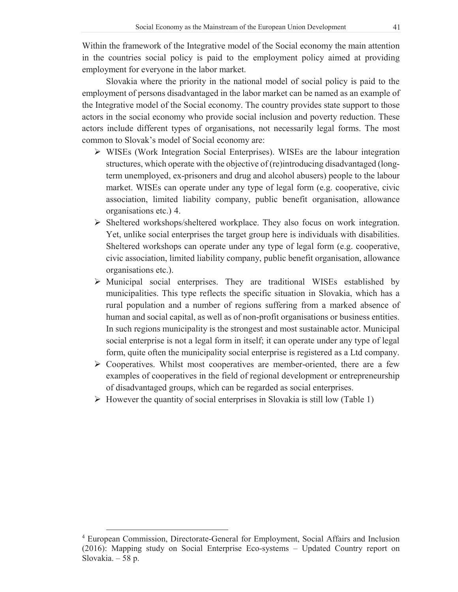Within the framework of the Integrative model of the Social economy the main attention in the countries social policy is paid to the employment policy aimed at providing employment for everyone in the labor market.

Slovakia where the priority in the national model of social policy is paid to the employment of persons disadvantaged in the labor market can be named as an example of the Integrative model of the Social economy. The country provides state support to those actors in the social economy who provide social inclusion and poverty reduction. These actors include different types of organisations, not necessarily legal forms. The most common to Slovak's model of Social economy are:

- $\triangleright$  WISEs (Work Integration Social Enterprises). WISEs are the labour integration structures, which operate with the objective of (re)introducing disadvantaged (longterm unemployed, ex-prisoners and drug and alcohol abusers) people to the labour market. WISEs can operate under any type of legal form (e.g. cooperative, civic association, limited liability company, public benefit organisation, allowance organisations etc.) 4.
- ¾ Sheltered workshops/sheltered workplace. They also focus on work integration. Yet, unlike social enterprises the target group here is individuals with disabilities. Sheltered workshops can operate under any type of legal form (e.g. cooperative, civic association, limited liability company, public benefit organisation, allowance organisations etc.).
- $\triangleright$  Municipal social enterprises. They are traditional WISEs established by municipalities. This type reflects the specific situation in Slovakia, which has a rural population and a number of regions suffering from a marked absence of human and social capital, as well as of non-profit organisations or business entities. In such regions municipality is the strongest and most sustainable actor. Municipal social enterprise is not a legal form in itself; it can operate under any type of legal form, quite often the municipality social enterprise is registered as a Ltd company.
- $\triangleright$  Cooperatives. Whilst most cooperatives are member-oriented, there are a few examples of cooperatives in the field of regional development or entrepreneurship of disadvantaged groups, which can be regarded as social enterprises.
- $\triangleright$  However the quantity of social enterprises in Slovakia is still low (Table 1)

<sup>4</sup> European Commission, Directorate-General for Employment, Social Affairs and Inclusion (2016): Mapping study on Social Enterprise Eco-systems – Updated Country report on Slovakia.  $-58$  p.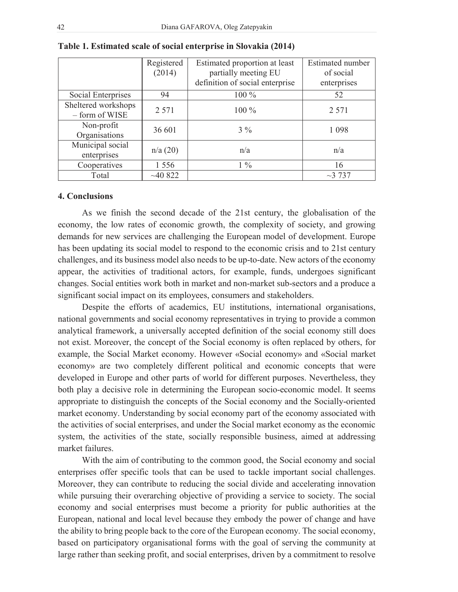|                                       | Registered<br>(2014) | Estimated proportion at least<br>partially meeting EU<br>definition of social enterprise | Estimated number<br>of social<br>enterprises |
|---------------------------------------|----------------------|------------------------------------------------------------------------------------------|----------------------------------------------|
| Social Enterprises                    | 94                   | 100 %                                                                                    | 52                                           |
| Sheltered workshops<br>- form of WISE | 2 5 7 1              | $100\%$                                                                                  | 2 5 7 1                                      |
| Non-profit<br>Organisations           | 36 601               | $3\%$                                                                                    | 1 0 9 8                                      |
| Municipal social<br>enterprises       | n/a(20)              | n/a                                                                                      | n/a                                          |
| Cooperatives                          | 1 5 5 6              | $1\%$                                                                                    | 16                                           |
| Total                                 | ~10822               |                                                                                          | ~137                                         |

**Table 1. Estimated scale of social enterprise in Slovakia (2014)** 

#### **4. Conclusions**

As we finish the second decade of the 21st century, the globalisation of the economy, the low rates of economic growth, the complexity of society, and growing demands for new services are challenging the European model of development. Europe has been updating its social model to respond to the economic crisis and to 21st century challenges, and its business model also needs to be up-to-date. New actors of the economy appear, the activities of traditional actors, for example, funds, undergoes significant changes. Social entities work both in market and non-market sub-sectors and a produce a significant social impact on its employees, consumers and stakeholders.

Despite the efforts of academics, EU institutions, international organisations, national governments and social economy representatives in trying to provide a common analytical framework, a universally accepted definition of the social economy still does not exist. Moreover, the concept of the Social economy is often replaced by others, for example, the Social Market economy. However «Social economy» and «Social market economy» are two completely different political and economic concepts that were developed in Europe and other parts of world for different purposes. Nevertheless, they both play a decisive role in determining the European socio-economic model. It seems appropriate to distinguish the concepts of the Social economy and the Socially-oriented market economy. Understanding by social economy part of the economy associated with the activities of social enterprises, and under the Social market economy as the economic system, the activities of the state, socially responsible business, aimed at addressing market failures.

With the aim of contributing to the common good, the Social economy and social enterprises offer specific tools that can be used to tackle important social challenges. Moreover, they can contribute to reducing the social divide and accelerating innovation while pursuing their overarching objective of providing a service to society. The social economy and social enterprises must become a priority for public authorities at the European, national and local level because they embody the power of change and have the ability to bring people back to the core of the European economy. The social economy, based on participatory organisational forms with the goal of serving the community at large rather than seeking profit, and social enterprises, driven by a commitment to resolve